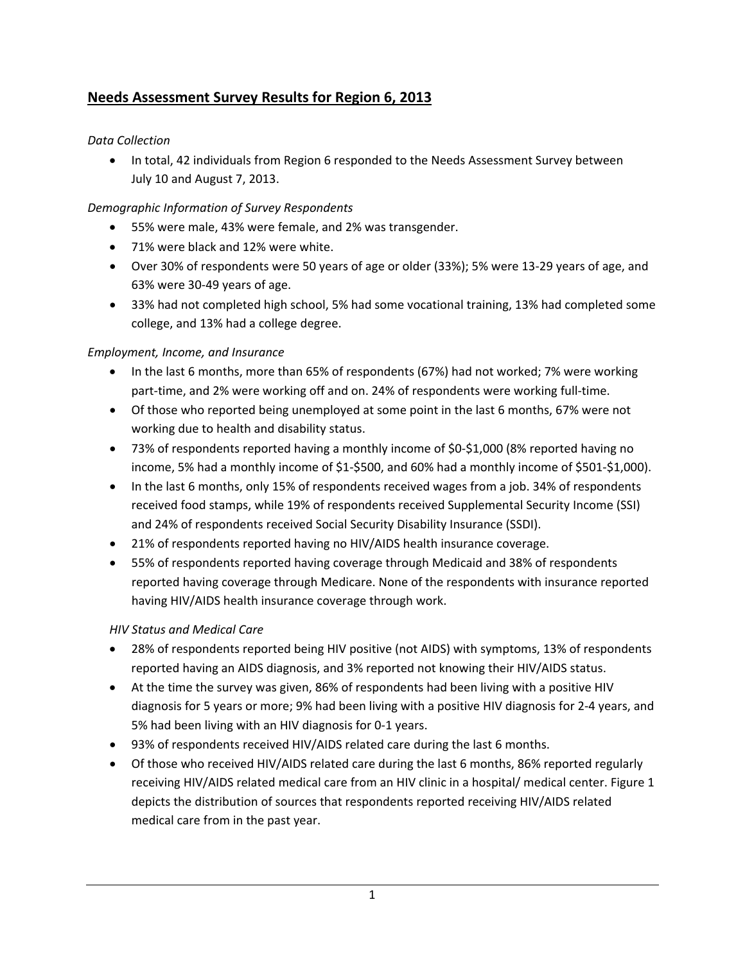# **Needs Assessment Survey Results for Region 6, 2013**

# *Data Collection*

• In total, 42 individuals from Region 6 responded to the Needs Assessment Survey between July 10 and August 7, 2013.

# *Demographic Information of Survey Respondents*

- 55% were male, 43% were female, and 2% was transgender.
- 71% were black and 12% were white.
- Over 30% of respondents were 50 years of age or older (33%); 5% were 13‐29 years of age, and 63% were 30‐49 years of age.
- 33% had not completed high school, 5% had some vocational training, 13% had completed some college, and 13% had a college degree.

# *Employment, Income, and Insurance*

- In the last 6 months, more than 65% of respondents (67%) had not worked; 7% were working part-time, and 2% were working off and on. 24% of respondents were working full-time.
- Of those who reported being unemployed at some point in the last 6 months, 67% were not working due to health and disability status.
- 73% of respondents reported having a monthly income of \$0-\$1,000 (8% reported having no income, 5% had a monthly income of \$1‐\$500, and 60% had a monthly income of \$501‐\$1,000).
- In the last 6 months, only 15% of respondents received wages from a job. 34% of respondents received food stamps, while 19% of respondents received Supplemental Security Income (SSI) and 24% of respondents received Social Security Disability Insurance (SSDI).
- 21% of respondents reported having no HIV/AIDS health insurance coverage.
- 55% of respondents reported having coverage through Medicaid and 38% of respondents reported having coverage through Medicare. None of the respondents with insurance reported having HIV/AIDS health insurance coverage through work.

## *HIV Status and Medical Care*

- 28% of respondents reported being HIV positive (not AIDS) with symptoms, 13% of respondents reported having an AIDS diagnosis, and 3% reported not knowing their HIV/AIDS status.
- At the time the survey was given, 86% of respondents had been living with a positive HIV diagnosis for 5 years or more; 9% had been living with a positive HIV diagnosis for 2‐4 years, and 5% had been living with an HIV diagnosis for 0‐1 years.
- 93% of respondents received HIV/AIDS related care during the last 6 months.
- Of those who received HIV/AIDS related care during the last 6 months, 86% reported regularly receiving HIV/AIDS related medical care from an HIV clinic in a hospital/ medical center. Figure 1 depicts the distribution of sources that respondents reported receiving HIV/AIDS related medical care from in the past year.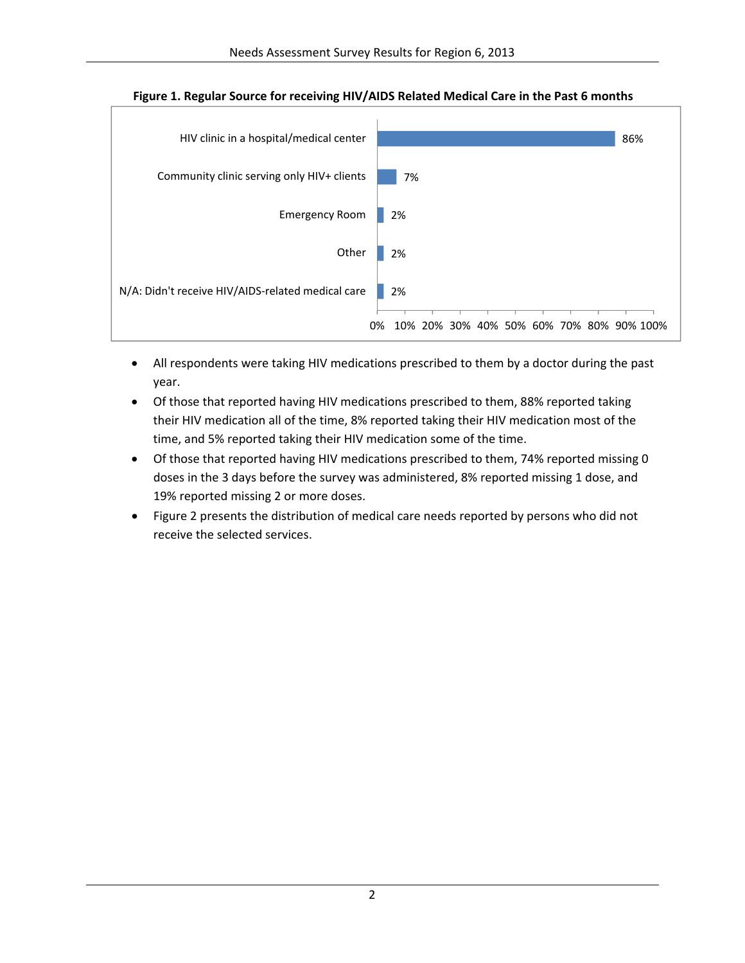

#### **Figure 1. Regular Source for receiving HIV/AIDS Related Medical Care in the Past 6 months**

- All respondents were taking HIV medications prescribed to them by a doctor during the past year.
- Of those that reported having HIV medications prescribed to them, 88% reported taking their HIV medication all of the time, 8% reported taking their HIV medication most of the time, and 5% reported taking their HIV medication some of the time.
- Of those that reported having HIV medications prescribed to them, 74% reported missing 0 doses in the 3 days before the survey was administered, 8% reported missing 1 dose, and 19% reported missing 2 or more doses.
- Figure 2 presents the distribution of medical care needs reported by persons who did not receive the selected services.